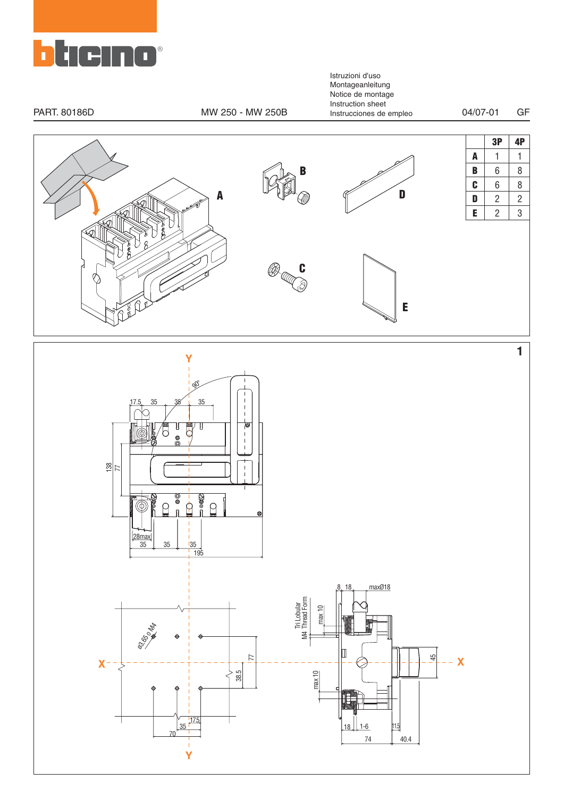

Istruzioni d'uso Montageanleitung Notice de montage Instruction sheet PART. 80186D MW 250 - MW 250B Instrucciones de empleo 04/07-01 GF**3P 4P A** 1 1 **B** 6 8 **B**  $C$  6 8 **D A**  $\mathbf{D}$  | 2 | 2  $E$  | 2 | 3  $\Im$  1  $^{\circledR}$ **C**<br>C **E 1 Y**  $\mathscr{C}$ 35 35 17.5 35 Ţ  $\mathbb{I}$ 大 6  $\overline{\phantom{a}}$  $\overline{1}$  $\frac{28}{7}$  $\overline{\phantom{a}}$  $\overline{1}$  $\sim$  000  $^{\circ}_{\circ}$  $\frac{1}{\Omega}$  $\beta$  $\varphi$ @  $\frac{\boxed{28\text{max}}}{35}$ 35 35 35 195 maxØ18 8 18 Thread Form Tri Lobular max 10 ø3,65 o M4

 $18$  1-6

**X X**

77

38.5

70

17 35

**Y**

I

max 10

Π

M4

74 40.4 11.5

45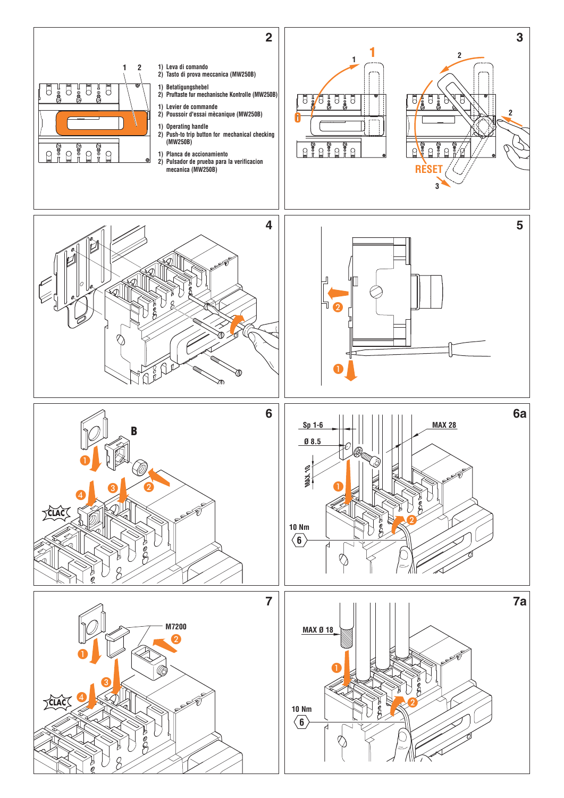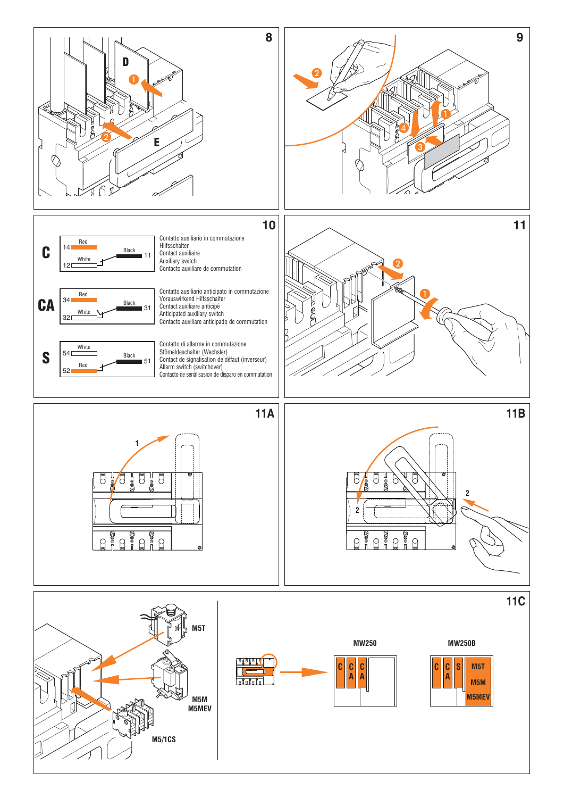